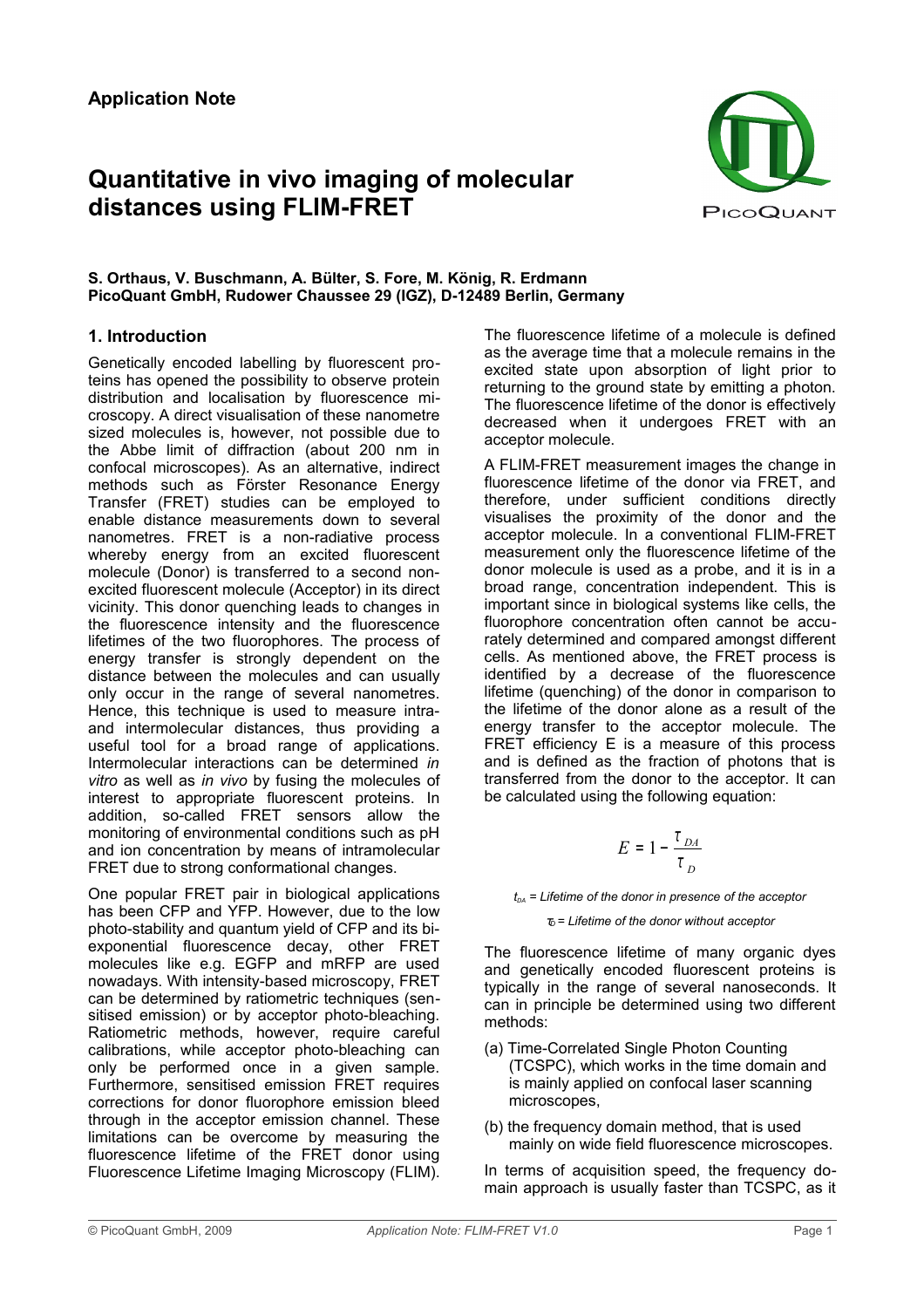# **Quantitative in vivo imaging of molecular distances using FLIM-FRET**



#### **S. Orthaus, V. Buschmann, A. Bülter, S. Fore, M. König, R. Erdmann PicoQuant GmbH, Rudower Chaussee 29 (IGZ), D-12489 Berlin, Germany**

## **1. Introduction**

Genetically encoded labelling by fluorescent proteins has opened the possibility to observe protein distribution and localisation by fluorescence microscopy. A direct visualisation of these nanometre sized molecules is, however, not possible due to the Abbe limit of diffraction (about 200 nm in confocal microscopes). As an alternative, indirect methods such as Förster Resonance Energy Transfer (FRET) studies can be employed to enable distance measurements down to several nanometres. FRET is a non-radiative process whereby energy from an excited fluorescent molecule (Donor) is transferred to a second nonexcited fluorescent molecule (Acceptor) in its direct vicinity. This donor quenching leads to changes in the fluorescence intensity and the fluorescence lifetimes of the two fluorophores. The process of energy transfer is strongly dependent on the distance between the molecules and can usually only occur in the range of several nanometres. Hence, this technique is used to measure intraand intermolecular distances, thus providing a useful tool for a broad range of applications. Intermolecular interactions can be determined *in vitro* as well as *in vivo* by fusing the molecules of interest to appropriate fluorescent proteins. In addition, so-called FRET sensors allow the monitoring of environmental conditions such as pH and ion concentration by means of intramolecular FRET due to strong conformational changes.

One popular FRET pair in biological applications has been CFP and YFP. However, due to the low photo-stability and quantum yield of CFP and its biexponential fluorescence decay, other FRET molecules like e.g. EGFP and mRFP are used nowadays. With intensity-based microscopy, FRET can be determined by ratiometric techniques (sensitised emission) or by acceptor photo-bleaching. Ratiometric methods, however, require careful calibrations, while acceptor photo-bleaching can only be performed once in a given sample. Furthermore, sensitised emission FRET requires corrections for donor fluorophore emission bleed through in the acceptor emission channel. These limitations can be overcome by measuring the fluorescence lifetime of the FRET donor using Fluorescence Lifetime Imaging Microscopy (FLIM).

The fluorescence lifetime of a molecule is defined as the average time that a molecule remains in the excited state upon absorption of light prior to returning to the ground state by emitting a photon. The fluorescence lifetime of the donor is effectively decreased when it undergoes FRET with an acceptor molecule.

A FLIM-FRET measurement images the change in fluorescence lifetime of the donor via FRET, and therefore, under sufficient conditions directly visualises the proximity of the donor and the acceptor molecule. In a conventional FLIM-FRET measurement only the fluorescence lifetime of the donor molecule is used as a probe, and it is in a broad range, concentration independent. This is important since in biological systems like cells, the fluorophore concentration often cannot be accurately determined and compared amongst different cells. As mentioned above, the FRET process is identified by a decrease of the fluorescence lifetime (quenching) of the donor in comparison to the lifetime of the donor alone as a result of the energy transfer to the acceptor molecule. The FRET efficiency E is a measure of this process and is defined as the fraction of photons that is transferred from the donor to the acceptor. It can be calculated using the following equation:

$$
E = 1 - \frac{\tau_{DA}}{\tau_{D}}
$$

 $t_{DA}$  = Lifetime of the donor in presence of the acceptor

<sup>τ</sup>*D = Lifetime of the donor without acceptor*

The fluorescence lifetime of many organic dyes and genetically encoded fluorescent proteins is typically in the range of several nanoseconds. It can in principle be determined using two different methods:

- (a) Time-Correlated Single Photon Counting (TCSPC), which works in the time domain and is mainly applied on confocal laser scanning microscopes,
- (b) the frequency domain method, that is used mainly on wide field fluorescence microscopes.

In terms of acquisition speed, the frequency domain approach is usually faster than TCSPC, as it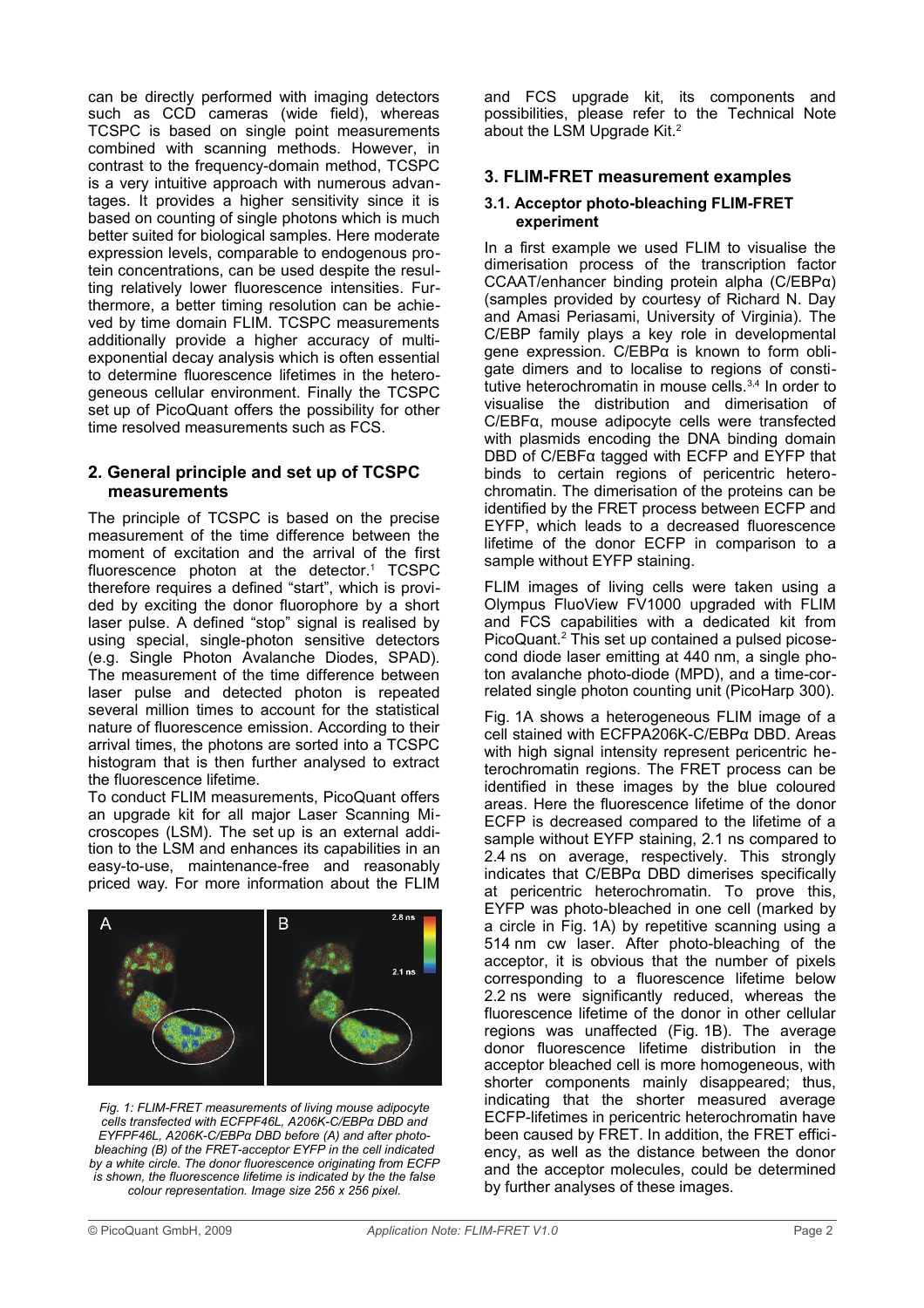can be directly performed with imaging detectors such as CCD cameras (wide field), whereas TCSPC is based on single point measurements combined with scanning methods. However, in contrast to the frequency-domain method, TCSPC is a very intuitive approach with numerous advantages. It provides a higher sensitivity since it is based on counting of single photons which is much better suited for biological samples. Here moderate expression levels, comparable to endogenous protein concentrations, can be used despite the resulting relatively lower fluorescence intensities. Furthermore, a better timing resolution can be achieved by time domain FLIM. TCSPC measurements additionally provide a higher accuracy of multiexponential decay analysis which is often essential to determine fluorescence lifetimes in the heterogeneous cellular environment. Finally the TCSPC set up of PicoQuant offers the possibility for other time resolved measurements such as FCS.

## **2. General principle and set up of TCSPC measurements**

The principle of TCSPC is based on the precise measurement of the time difference between the moment of excitation and the arrival of the first fluorescence photon at the detector.<sup>1</sup> TCSPC therefore requires a defined "start", which is provided by exciting the donor fluorophore by a short laser pulse. A defined "stop" signal is realised by using special, single-photon sensitive detectors (e.g. Single Photon Avalanche Diodes, SPAD). The measurement of the time difference between laser pulse and detected photon is repeated several million times to account for the statistical nature of fluorescence emission. According to their arrival times, the photons are sorted into a TCSPC histogram that is then further analysed to extract the fluorescence lifetime.

To conduct FLIM measurements, PicoQuant offers an upgrade kit for all major Laser Scanning Microscopes (LSM). The set up is an external addition to the LSM and enhances its capabilities in an easy-to-use, maintenance-free and reasonably priced way. For more information about the FLIM



*Fig. 1: FLIM-FRET measurements of living mouse adipocyte cells transfected with ECFPF46L, A206K-C/EBPα DBD and EYFPF46L, A206K-C/EBPα DBD before (A) and after photobleaching (B) of the FRET-acceptor EYFP in the cell indicated by a white circle. The donor fluorescence originating from ECFP is shown, the fluorescence lifetime is indicated by the the false colour representation. Image size 256 x 256 pixel.*

and FCS upgrade kit, its components and possibilities, please refer to the Technical Note about the LSM Upgrade Kit.<sup>2</sup>

## **3. FLIM-FRET measurement examples**

#### **3.1. Acceptor photo-bleaching FLIM-FRET experiment**

In a first example we used FLIM to visualise the dimerisation process of the transcription factor CCAAT/enhancer binding protein alpha (C/EBPα) (samples provided by courtesy of Richard N. Day and Amasi Periasami, University of Virginia). The C/EBP family plays a key role in developmental gene expression. C/EBPα is known to form obligate dimers and to localise to regions of constitutive heterochromatin in mouse cells.<sup>3,4</sup> In order to visualise the distribution and dimerisation of C/EBFα, mouse adipocyte cells were transfected with plasmids encoding the DNA binding domain DBD of C/EBFα tagged with ECFP and EYFP that binds to certain regions of pericentric heterochromatin. The dimerisation of the proteins can be identified by the FRET process between ECFP and EYFP, which leads to a decreased fluorescence lifetime of the donor ECFP in comparison to a sample without EYFP staining.

FLIM images of living cells were taken using a Olympus FluoView FV1000 upgraded with FLIM and FCS capabilities with a dedicated kit from PicoQuant.<sup>2</sup> This set up contained a pulsed picosecond diode laser emitting at 440 nm, a single photon avalanche photo-diode (MPD), and a time-correlated single photon counting unit (PicoHarp 300).

Fig. 1A shows a heterogeneous FLIM image of a cell stained with ECFPA206K-C/EBPα DBD. Areas with high signal intensity represent pericentric heterochromatin regions. The FRET process can be identified in these images by the blue coloured areas. Here the fluorescence lifetime of the donor ECFP is decreased compared to the lifetime of a sample without EYFP staining, 2.1 ns compared to 2.4 ns on average, respectively. This strongly indicates that C/EBPα DBD dimerises specifically at pericentric heterochromatin. To prove this, EYFP was photo-bleached in one cell (marked by a circle in Fig. 1A) by repetitive scanning using a 514 nm cw laser. After photo-bleaching of the acceptor, it is obvious that the number of pixels corresponding to a fluorescence lifetime below 2.2 ns were significantly reduced, whereas the fluorescence lifetime of the donor in other cellular regions was unaffected (Fig. 1B). The average donor fluorescence lifetime distribution in the acceptor bleached cell is more homogeneous, with shorter components mainly disappeared; thus, indicating that the shorter measured average ECFP-lifetimes in pericentric heterochromatin have been caused by FRET. In addition, the FRET efficiency, as well as the distance between the donor and the acceptor molecules, could be determined by further analyses of these images.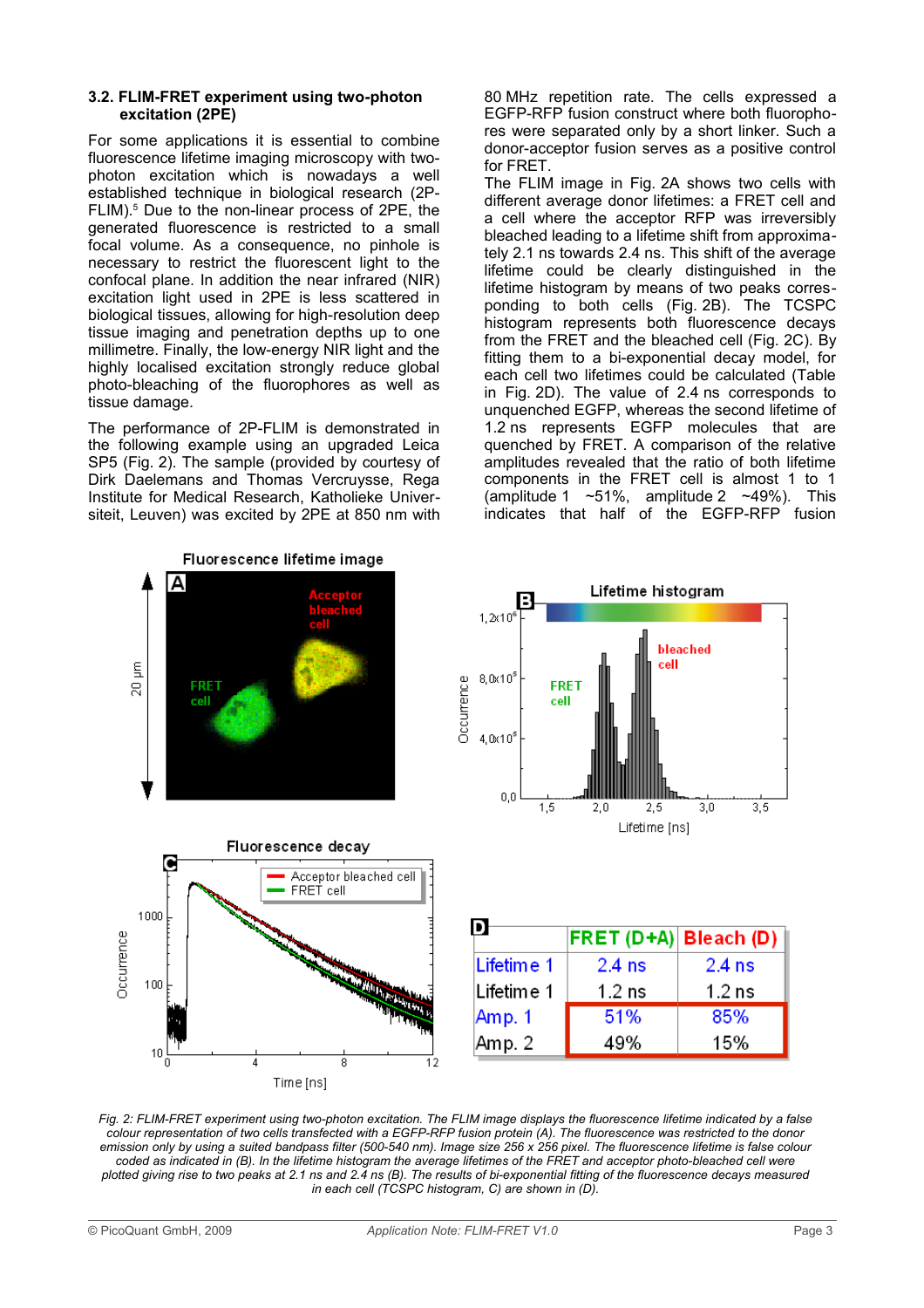#### **3.2. FLIM-FRET experiment using two-photon excitation (2PE)**

For some applications it is essential to combine fluorescence lifetime imaging microscopy with twophoton excitation which is nowadays a well established technique in biological research (2P-FLIM).<sup>5</sup> Due to the non-linear process of 2PE, the generated fluorescence is restricted to a small focal volume. As a consequence, no pinhole is necessary to restrict the fluorescent light to the confocal plane. In addition the near infrared (NIR) excitation light used in 2PE is less scattered in biological tissues, allowing for high-resolution deep tissue imaging and penetration depths up to one millimetre. Finally, the low-energy NIR light and the highly localised excitation strongly reduce global photo-bleaching of the fluorophores as well as tissue damage.

The performance of 2P-FLIM is demonstrated in the following example using an upgraded Leica SP5 (Fig. 2). The sample (provided by courtesy of Dirk Daelemans and Thomas Vercruysse, Rega Institute for Medical Research, Katholieke Universiteit, Leuven) was excited by 2PE at 850 nm with 80 MHz repetition rate. The cells expressed a EGFP-RFP fusion construct where both fluorophores were separated only by a short linker. Such a donor-acceptor fusion serves as a positive control for FRET.

The FLIM image in Fig. 2A shows two cells with different average donor lifetimes: a FRET cell and a cell where the acceptor RFP was irreversibly bleached leading to a lifetime shift from approximately 2.1 ns towards 2.4 ns. This shift of the average lifetime could be clearly distinguished in the lifetime histogram by means of two peaks corresponding to both cells (Fig. 2B). The TCSPC histogram represents both fluorescence decays from the FRET and the bleached cell (Fig. 2C). By fitting them to a bi-exponential decay model, for each cell two lifetimes could be calculated (Table in Fig. 2D). The value of 2.4 ns corresponds to unquenched EGFP, whereas the second lifetime of 1.2 ns represents EGFP molecules that are quenched by FRET. A comparison of the relative amplitudes revealed that the ratio of both lifetime components in the FRET cell is almost 1 to 1 (amplitude 1  $~\sim$  51%, amplitude 2  $~\sim$  49%). This indicates that half of the EGFP-RFP fusion







|            | <b>FRET (D+A) Bleach (D)</b> |          |
|------------|------------------------------|----------|
| Lifetime 1 | $2.4$ ns                     | $2.4$ ns |
| Lifetime 1 | $1.2$ ns                     | $1.2$ ns |
| Amp. 1     | 51%                          | 85%      |
| Amp. 2     | 49%                          | 15%      |

*Fig. 2: FLIM-FRET experiment using two-photon excitation. The FLIM image displays the fluorescence lifetime indicated by a false colour representation of two cells transfected with a EGFP-RFP fusion protein (A). The fluorescence was restricted to the donor emission only by using a suited bandpass filter (500-540 nm). Image size 256 x 256 pixel. The fluorescence lifetime is false colour coded as indicated in (B). In the lifetime histogram the average lifetimes of the FRET and acceptor photo-bleached cell were plotted giving rise to two peaks at 2.1 ns and 2.4 ns (B). The results of bi-exponential fitting of the fluorescence decays measured in each cell (TCSPC histogram, C) are shown in (D).*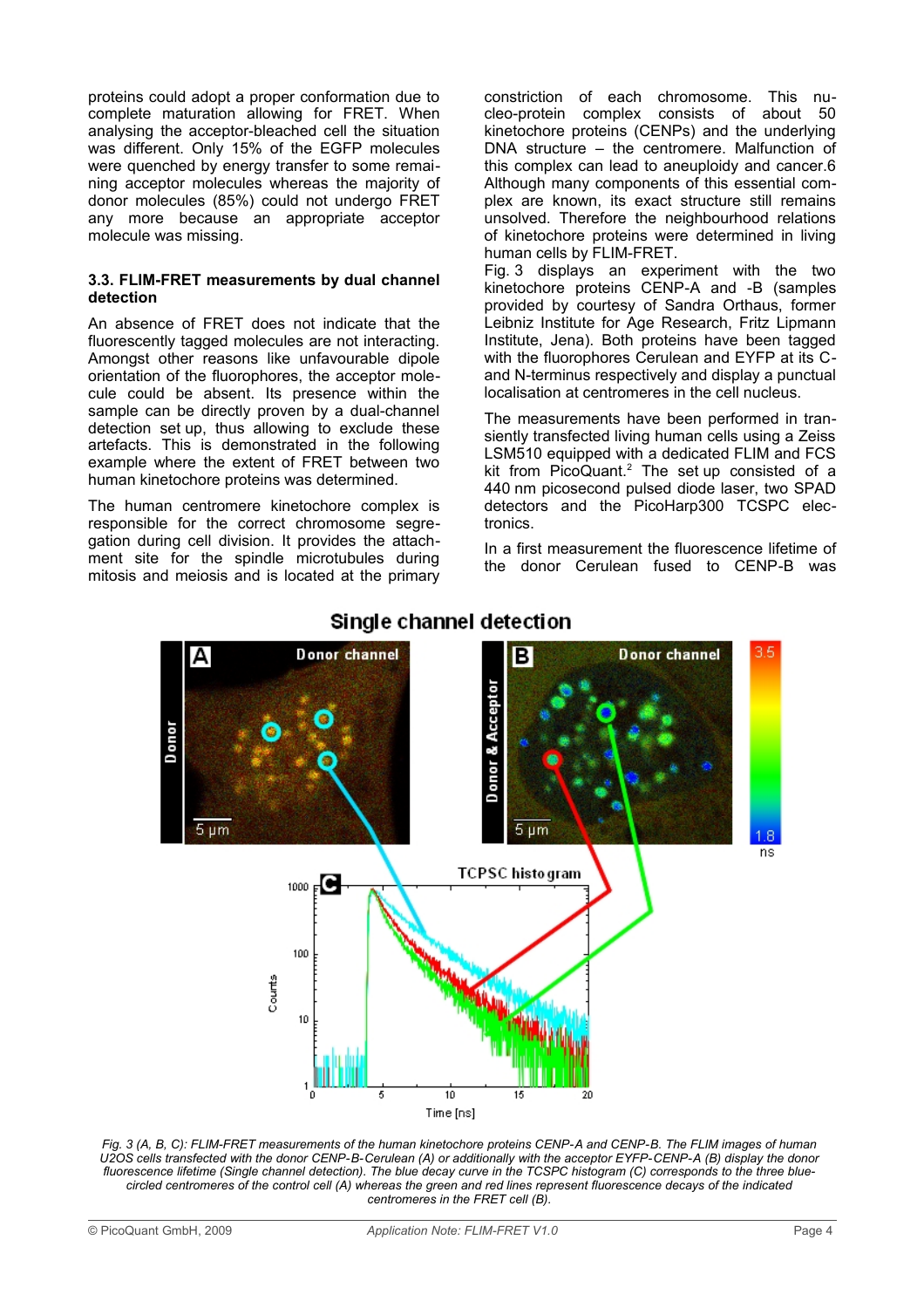proteins could adopt a proper conformation due to complete maturation allowing for FRET. When analysing the acceptor-bleached cell the situation was different. Only 15% of the EGFP molecules were quenched by energy transfer to some remaining acceptor molecules whereas the majority of donor molecules (85%) could not undergo FRET any more because an appropriate acceptor molecule was missing.

#### **3.3. FLIM-FRET measurements by dual channel detection**

An absence of FRET does not indicate that the fluorescently tagged molecules are not interacting. Amongst other reasons like unfavourable dipole orientation of the fluorophores, the acceptor molecule could be absent. Its presence within the sample can be directly proven by a dual-channel detection set up, thus allowing to exclude these artefacts. This is demonstrated in the following example where the extent of FRET between two human kinetochore proteins was determined.

The human centromere kinetochore complex is responsible for the correct chromosome segregation during cell division. It provides the attachment site for the spindle microtubules during mitosis and meiosis and is located at the primary constriction of each chromosome. This nucleo-protein complex consists of about 50 kinetochore proteins (CENPs) and the underlying DNA structure – the centromere. Malfunction of this complex can lead to aneuploidy and cancer.6 Although many components of this essential complex are known, its exact structure still remains unsolved. Therefore the neighbourhood relations of kinetochore proteins were determined in living human cells by FLIM-FRET.

Fig. 3 displays an experiment with the two kinetochore proteins CENP-A and -B (samples provided by courtesy of Sandra Orthaus, former Leibniz Institute for Age Research, Fritz Lipmann Institute, Jena). Both proteins have been tagged with the fluorophores Cerulean and EYFP at its Cand N-terminus respectively and display a punctual localisation at centromeres in the cell nucleus.

The measurements have been performed in transiently transfected living human cells using a Zeiss LSM510 equipped with a dedicated FLIM and FCS kit from PicoQuant. $2$  The set up consisted of a 440 nm picosecond pulsed diode laser, two SPAD detectors and the PicoHarp300 TCSPC electronics.

In a first measurement the fluorescence lifetime of the donor Cerulean fused to CENP-B was



## Single channel detection

*Fig. 3 (A, B, C): FLIM-FRET measurements of the human kinetochore proteins CENP-A and CENP-B. The FLIM images of human U2OS cells transfected with the donor CENP-B-Cerulean (A) or additionally with the acceptor EYFP-CENP-A (B) display the donor fluorescence lifetime (Single channel detection). The blue decay curve in the TCSPC histogram (C) corresponds to the three bluecircled centromeres of the control cell (A) whereas the green and red lines represent fluorescence decays of the indicated centromeres in the FRET cell (B).*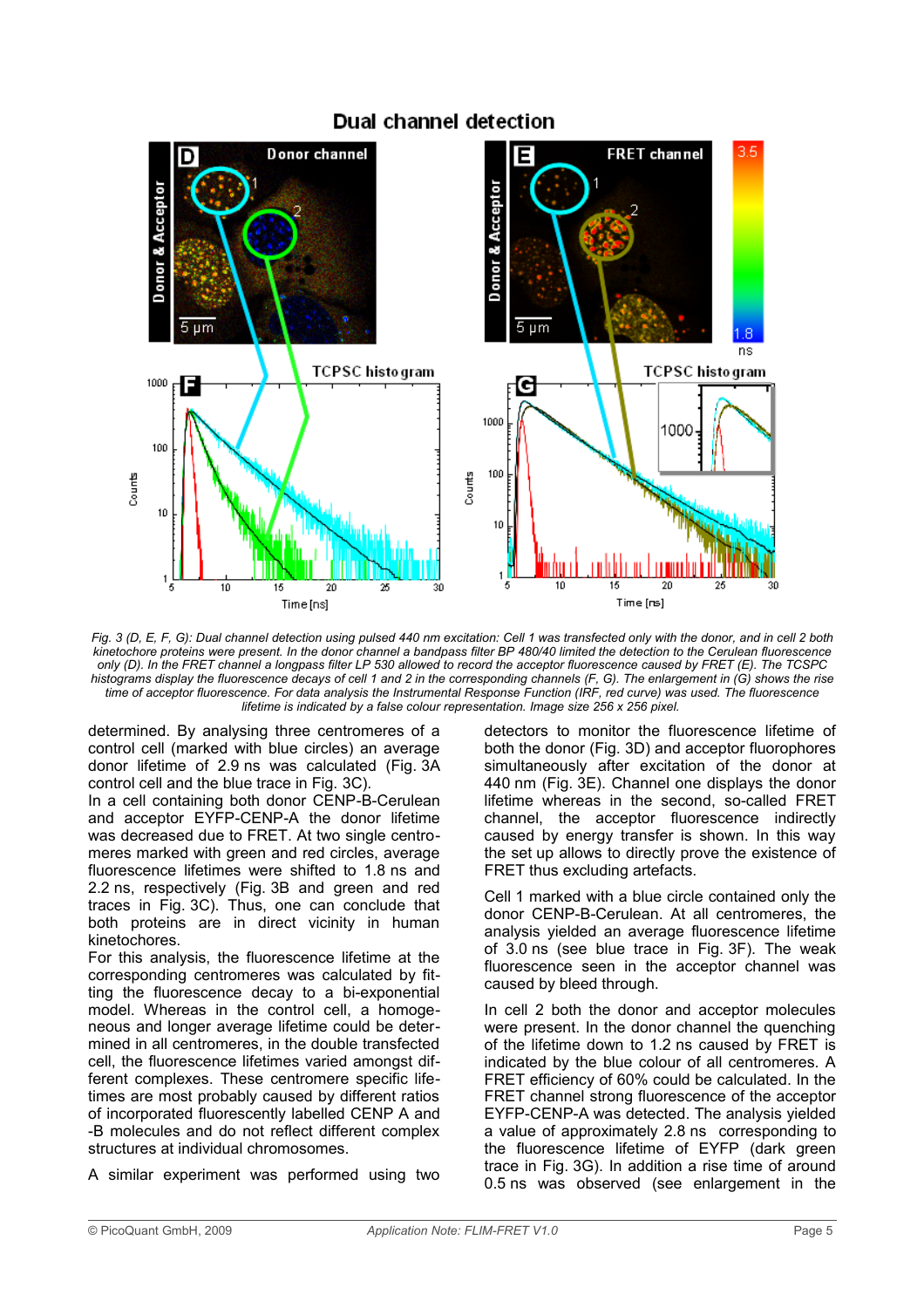

## Dual channel detection

*Fig. 3 (D, E, F, G): Dual channel detection using pulsed 440 nm excitation: Cell 1 was transfected only with the donor, and in cell 2 both kinetochore proteins were present. In the donor channel a bandpass filter BP 480/40 limited the detection to the Cerulean fluorescence only (D). In the FRET channel a longpass filter LP 530 allowed to record the acceptor fluorescence caused by FRET (E). The TCSPC histograms display the fluorescence decays of cell 1 and 2 in the corresponding channels (F, G). The enlargement in (G) shows the rise time of acceptor fluorescence. For data analysis the Instrumental Response Function (IRF, red curve) was used. The fluorescence lifetime is indicated by a false colour representation. Image size 256 x 256 pixel.* 

determined. By analysing three centromeres of a control cell (marked with blue circles) an average donor lifetime of 2.9 ns was calculated (Fig. 3A control cell and the blue trace in Fig. 3C).

In a cell containing both donor CENP-B-Cerulean and acceptor EYFP-CENP-A the donor lifetime was decreased due to FRET. At two single centromeres marked with green and red circles, average fluorescence lifetimes were shifted to 1.8 ns and 2.2 ns, respectively (Fig. 3B and green and red traces in Fig. 3C). Thus, one can conclude that both proteins are in direct vicinity in human kinetochores.

For this analysis, the fluorescence lifetime at the corresponding centromeres was calculated by fitting the fluorescence decay to a bi-exponential model. Whereas in the control cell, a homogeneous and longer average lifetime could be determined in all centromeres, in the double transfected cell, the fluorescence lifetimes varied amongst different complexes. These centromere specific lifetimes are most probably caused by different ratios of incorporated fluorescently labelled CENP A and -B molecules and do not reflect different complex structures at individual chromosomes.

A similar experiment was performed using two

detectors to monitor the fluorescence lifetime of both the donor (Fig. 3D) and acceptor fluorophores simultaneously after excitation of the donor at 440 nm (Fig. 3E). Channel one displays the donor lifetime whereas in the second, so-called FRET channel, the acceptor fluorescence indirectly caused by energy transfer is shown. In this way the set up allows to directly prove the existence of FRET thus excluding artefacts.

Cell 1 marked with a blue circle contained only the donor CENP-B-Cerulean. At all centromeres, the analysis yielded an average fluorescence lifetime of 3.0 ns (see blue trace in Fig. 3F). The weak fluorescence seen in the acceptor channel was caused by bleed through.

In cell 2 both the donor and acceptor molecules were present. In the donor channel the quenching of the lifetime down to 1.2 ns caused by FRET is indicated by the blue colour of all centromeres. A FRET efficiency of 60% could be calculated. In the FRET channel strong fluorescence of the acceptor EYFP-CENP-A was detected. The analysis yielded a value of approximately 2.8 ns corresponding to the fluorescence lifetime of EYFP (dark green trace in Fig. 3G). In addition a rise time of around 0.5 ns was observed (see enlargement in the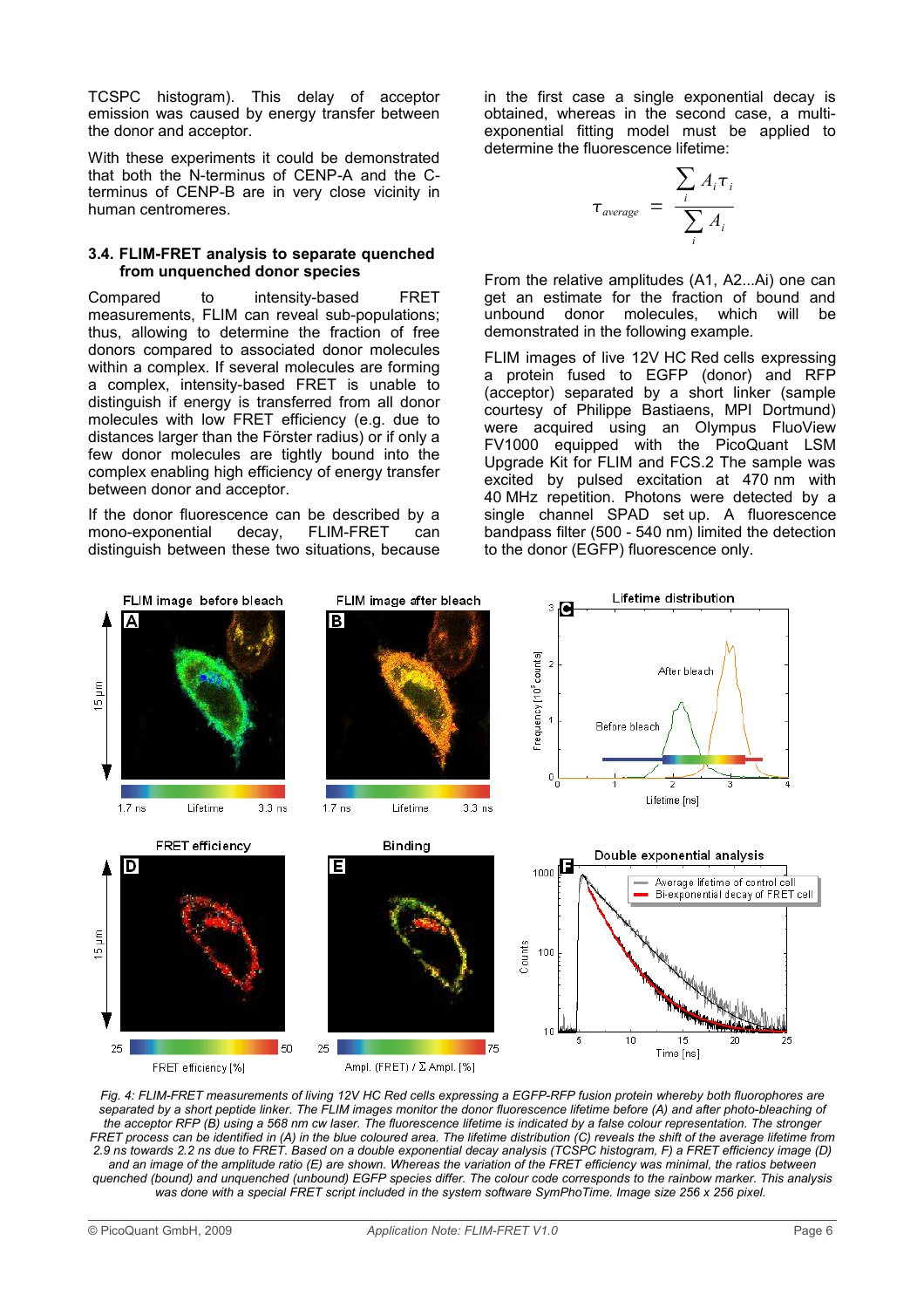TCSPC histogram). This delay of acceptor emission was caused by energy transfer between the donor and acceptor.

With these experiments it could be demonstrated that both the N-terminus of CENP-A and the Cterminus of CENP-B are in very close vicinity in human centromeres.

#### **3.4. FLIM-FRET analysis to separate quenched from unquenched donor species**

Compared to intensity-based FRET measurements, FLIM can reveal sub-populations; thus, allowing to determine the fraction of free donors compared to associated donor molecules within a complex. If several molecules are forming a complex, intensity-based FRET is unable to distinguish if energy is transferred from all donor molecules with low FRET efficiency (e.g. due to distances larger than the Förster radius) or if only a few donor molecules are tightly bound into the complex enabling high efficiency of energy transfer between donor and acceptor.

If the donor fluorescence can be described by a mono-exponential decay, FLIM-FRET can distinguish between these two situations, because in the first case a single exponential decay is obtained, whereas in the second case, a multiexponential fitting model must be applied to determine the fluorescence lifetime:

$$
\tau_{average} = \frac{\sum_{i} A_{i} \tau_{i}}{\sum_{i} A_{i}}
$$

From the relative amplitudes (A1, A2...Ai) one can get an estimate for the fraction of bound and unbound donor molecules, which will be demonstrated in the following example.

FLIM images of live 12V HC Red cells expressing a protein fused to EGFP (donor) and RFP (acceptor) separated by a short linker (sample courtesy of Philippe Bastiaens, MPI Dortmund) were acquired using an Olympus FluoView FV1000 equipped with the PicoQuant LSM Upgrade Kit for FLIM and FCS.2 The sample was excited by pulsed excitation at 470 nm with 40 MHz repetition. Photons were detected by a single channel SPAD set up. A fluorescence bandpass filter (500 - 540 nm) limited the detection to the donor (EGFP) fluorescence only.



*Fig. 4: FLIM-FRET measurements of living 12V HC Red cells expressing a EGFP-RFP fusion protein whereby both fluorophores are separated by a short peptide linker. The FLIM images monitor the donor fluorescence lifetime before (A) and after photo-bleaching of the acceptor RFP (B) using a 568 nm cw laser. The fluorescence lifetime is indicated by a false colour representation. The stronger FRET process can be identified in (A) in the blue coloured area. The lifetime distribution (C) reveals the shift of the average lifetime from 2.9 ns towards 2.2 ns due to FRET. Based on a double exponential decay analysis (TCSPC histogram, F) a FRET efficiency image (D) and an image of the amplitude ratio (E) are shown. Whereas the variation of the FRET efficiency was minimal, the ratios between quenched (bound) and unquenched (unbound) EGFP species differ. The colour code corresponds to the rainbow marker. This analysis was done with a special FRET script included in the system software SymPhoTime. Image size 256 x 256 pixel.*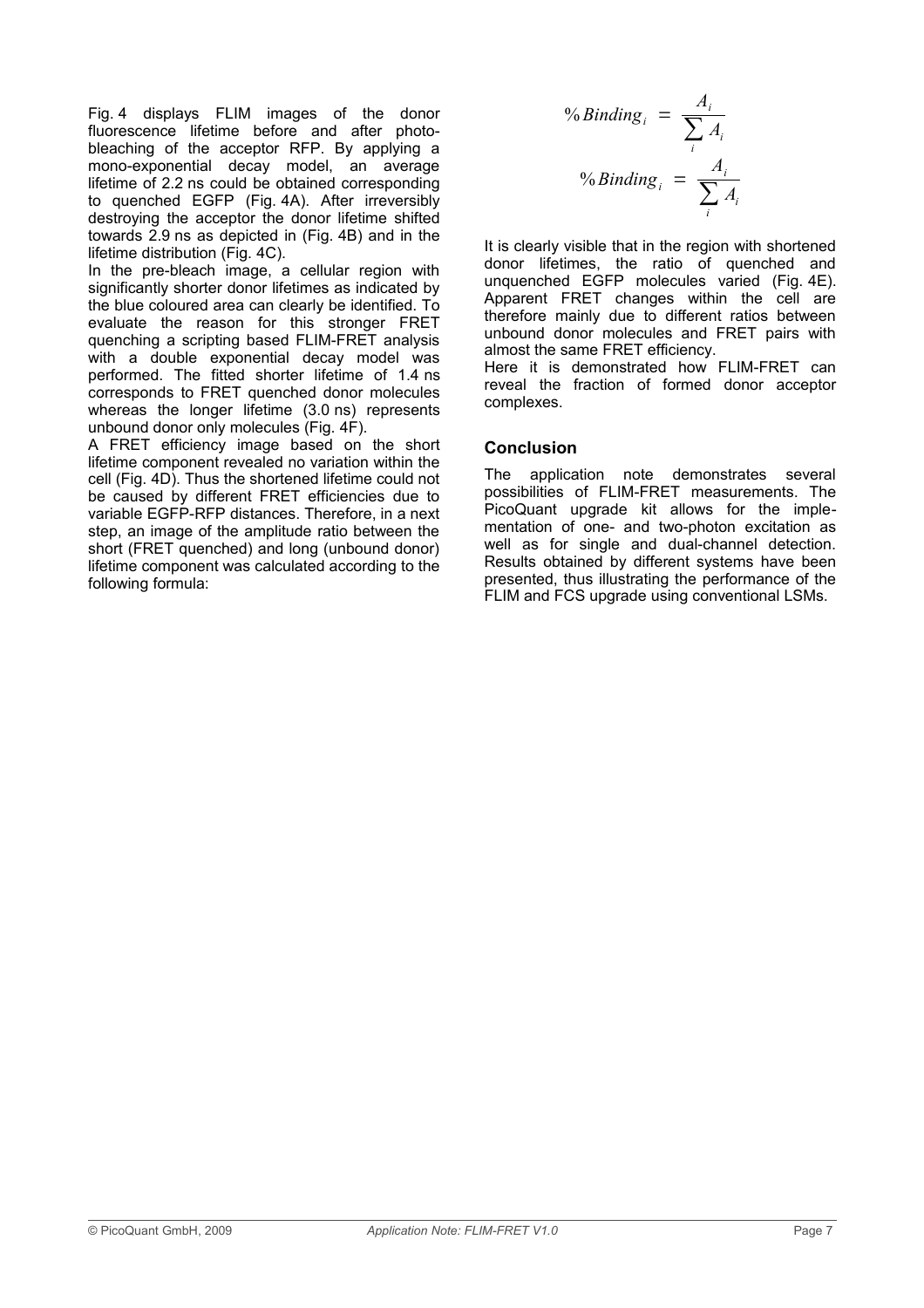Fig. 4 displays FLIM images of the donor fluorescence lifetime before and after photobleaching of the acceptor RFP. By applying a mono-exponential decay model, an average lifetime of 2.2 ns could be obtained corresponding to quenched EGFP (Fig. 4A). After irreversibly destroying the acceptor the donor lifetime shifted towards 2.9 ns as depicted in (Fig. 4B) and in the lifetime distribution (Fig. 4C).

In the pre-bleach image, a cellular region with significantly shorter donor lifetimes as indicated by the blue coloured area can clearly be identified. To evaluate the reason for this stronger FRET quenching a scripting based FLIM-FRET analysis with a double exponential decay model was performed. The fitted shorter lifetime of 1.4 ns corresponds to FRET quenched donor molecules whereas the longer lifetime (3.0 ns) represents unbound donor only molecules (Fig. 4F).

A FRET efficiency image based on the short lifetime component revealed no variation within the cell (Fig. 4D). Thus the shortened lifetime could not be caused by different FRET efficiencies due to variable EGFP-RFP distances. Therefore, in a next step, an image of the amplitude ratio between the short (FRET quenched) and long (unbound donor) lifetime component was calculated according to the following formula:

$$
\% Binding_i = \frac{A_i}{\sum_i A_i}
$$
  

$$
\% Binding_i = \frac{A_i}{\sum_i A_i}
$$

It is clearly visible that in the region with shortened donor lifetimes, the ratio of quenched and unquenched EGFP molecules varied (Fig. 4E). Apparent FRET changes within the cell are therefore mainly due to different ratios between unbound donor molecules and FRET pairs with almost the same FRET efficiency.

Here it is demonstrated how FLIM-FRET can reveal the fraction of formed donor acceptor complexes.

## **Conclusion**

The application note demonstrates several possibilities of FLIM-FRET measurements. The PicoQuant upgrade kit allows for the implementation of one- and two-photon excitation as well as for single and dual-channel detection. Results obtained by different systems have been presented, thus illustrating the performance of the FLIM and FCS upgrade using conventional LSMs.